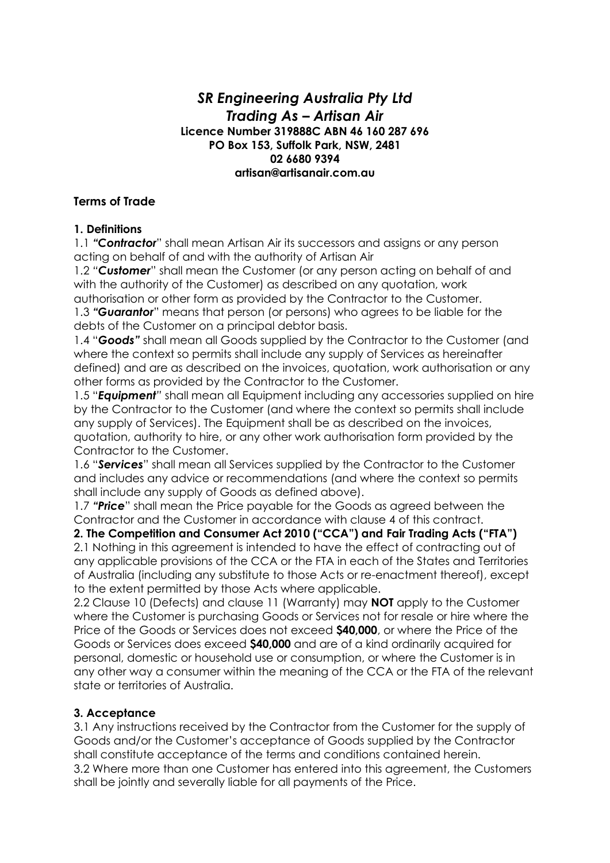# *SR Engineering Australia Pty Ltd Trading As – Artisan Air* **Licence Number 319888C ABN 46 160 287 696 PO Box 153, Suffolk Park, NSW, 2481 02 6680 9394 artisan@artisanair.com.au**

### **Terms of Trade**

### **1. Definitions**

1.1 *"Contractor*" shall mean Artisan Air its successors and assigns or any person acting on behalf of and with the authority of Artisan Air

1.2 *"Customer*" shall mean the Customer (or any person acting on behalf of and with the authority of the Customer) as described on any quotation, work authorisation or other form as provided by the Contractor to the Customer.

1.3 *"Guarantor*" means that person (or persons) who agrees to be liable for the debts of the Customer on a principal debtor basis.

1.4 "*Goods"* shall mean all Goods supplied by the Contractor to the Customer (and where the context so permits shall include any supply of Services as hereinafter defined) and are as described on the invoices, quotation, work authorisation or any other forms as provided by the Contractor to the Customer.

1.5 "*Equipment"* shall mean all Equipment including any accessories supplied on hire by the Contractor to the Customer (and where the context so permits shall include any supply of Services). The Equipment shall be as described on the invoices, quotation, authority to hire, or any other work authorisation form provided by the Contractor to the Customer.

1.6 "*Services*" shall mean all Services supplied by the Contractor to the Customer and includes any advice or recommendations (and where the context so permits shall include any supply of Goods as defined above).

1.7 *"Price*" shall mean the Price payable for the Goods as agreed between the Contractor and the Customer in accordance with clause 4 of this contract.

**2. The Competition and Consumer Act 2010 ("CCA") and Fair Trading Acts ("FTA")**  2.1 Nothing in this agreement is intended to have the effect of contracting out of any applicable provisions of the CCA or the FTA in each of the States and Territories of Australia (including any substitute to those Acts or re-enactment thereof), except to the extent permitted by those Acts where applicable.

2.2 Clause 10 (Defects) and clause 11 (Warranty) may **NOT** apply to the Customer where the Customer is purchasing Goods or Services not for resale or hire where the Price of the Goods or Services does not exceed **\$40,000**, or where the Price of the Goods or Services does exceed **\$40,000** and are of a kind ordinarily acquired for personal, domestic or household use or consumption, or where the Customer is in any other way a consumer within the meaning of the CCA or the FTA of the relevant state or territories of Australia.

# **3. Acceptance**

3.1 Any instructions received by the Contractor from the Customer for the supply of Goods and/or the Customer's acceptance of Goods supplied by the Contractor shall constitute acceptance of the terms and conditions contained herein. 3.2 Where more than one Customer has entered into this agreement, the Customers shall be jointly and severally liable for all payments of the Price.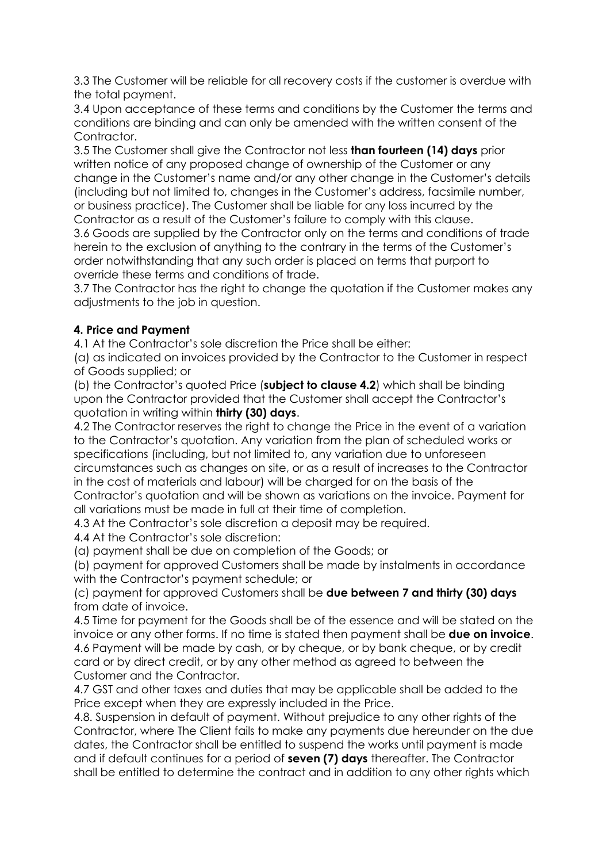3.3 The Customer will be reliable for all recovery costs if the customer is overdue with the total payment.

3.4 Upon acceptance of these terms and conditions by the Customer the terms and conditions are binding and can only be amended with the written consent of the Contractor.

3.5 The Customer shall give the Contractor not less **than fourteen (14) days** prior written notice of any proposed change of ownership of the Customer or any change in the Customer's name and/or any other change in the Customer's details (including but not limited to, changes in the Customer's address, facsimile number, or business practice). The Customer shall be liable for any loss incurred by the Contractor as a result of the Customer's failure to comply with this clause.

3.6 Goods are supplied by the Contractor only on the terms and conditions of trade herein to the exclusion of anything to the contrary in the terms of the Customer's order notwithstanding that any such order is placed on terms that purport to override these terms and conditions of trade.

3.7 The Contractor has the right to change the quotation if the Customer makes any adjustments to the job in question.

# **4. Price and Payment**

4.1 At the Contractor's sole discretion the Price shall be either:

(a) as indicated on invoices provided by the Contractor to the Customer in respect of Goods supplied; or

(b) the Contractor's quoted Price (**subject to clause 4.2**) which shall be binding upon the Contractor provided that the Customer shall accept the Contractor's quotation in writing within **thirty (30) days**.

4.2 The Contractor reserves the right to change the Price in the event of a variation to the Contractor's quotation. Any variation from the plan of scheduled works or specifications (including, but not limited to, any variation due to unforeseen circumstances such as changes on site, or as a result of increases to the Contractor in the cost of materials and labour) will be charged for on the basis of the Contractor's quotation and will be shown as variations on the invoice. Payment for all variations must be made in full at their time of completion.

4.3 At the Contractor's sole discretion a deposit may be required.

4.4 At the Contractor's sole discretion:

(a) payment shall be due on completion of the Goods; or

(b) payment for approved Customers shall be made by instalments in accordance with the Contractor's payment schedule; or

(c) payment for approved Customers shall be **due between 7 and thirty (30) days**  from date of invoice.

4.5 Time for payment for the Goods shall be of the essence and will be stated on the invoice or any other forms. If no time is stated then payment shall be **due on invoice**. 4.6 Payment will be made by cash, or by cheque, or by bank cheque, or by credit card or by direct credit, or by any other method as agreed to between the Customer and the Contractor.

4.7 GST and other taxes and duties that may be applicable shall be added to the Price except when they are expressly included in the Price.

4.8. Suspension in default of payment. Without prejudice to any other rights of the Contractor, where The Client fails to make any payments due hereunder on the due dates, the Contractor shall be entitled to suspend the works until payment is made and if default continues for a period of **seven (7) days** thereafter. The Contractor shall be entitled to determine the contract and in addition to any other rights which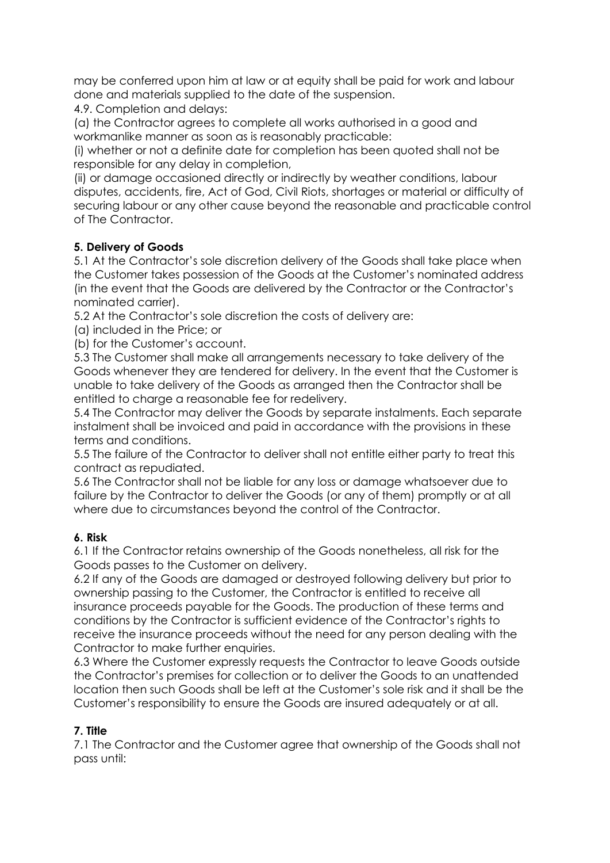may be conferred upon him at law or at equity shall be paid for work and labour done and materials supplied to the date of the suspension.

4.9. Completion and delays:

(a) the Contractor agrees to complete all works authorised in a good and workmanlike manner as soon as is reasonably practicable:

(i) whether or not a definite date for completion has been quoted shall not be responsible for any delay in completion,

(ii) or damage occasioned directly or indirectly by weather conditions, labour disputes, accidents, fire, Act of God, Civil Riots, shortages or material or difficulty of securing labour or any other cause beyond the reasonable and practicable control of The Contractor.

### **5. Delivery of Goods**

5.1 At the Contractor's sole discretion delivery of the Goods shall take place when the Customer takes possession of the Goods at the Customer's nominated address (in the event that the Goods are delivered by the Contractor or the Contractor's nominated carrier).

5.2 At the Contractor's sole discretion the costs of delivery are:

(a) included in the Price; or

(b) for the Customer's account.

5.3 The Customer shall make all arrangements necessary to take delivery of the Goods whenever they are tendered for delivery. In the event that the Customer is unable to take delivery of the Goods as arranged then the Contractor shall be entitled to charge a reasonable fee for redelivery.

5.4 The Contractor may deliver the Goods by separate instalments. Each separate instalment shall be invoiced and paid in accordance with the provisions in these terms and conditions.

5.5 The failure of the Contractor to deliver shall not entitle either party to treat this contract as repudiated.

5.6 The Contractor shall not be liable for any loss or damage whatsoever due to failure by the Contractor to deliver the Goods (or any of them) promptly or at all where due to circumstances beyond the control of the Contractor.

#### **6. Risk**

6.1 If the Contractor retains ownership of the Goods nonetheless, all risk for the Goods passes to the Customer on delivery.

6.2 If any of the Goods are damaged or destroyed following delivery but prior to ownership passing to the Customer, the Contractor is entitled to receive all insurance proceeds payable for the Goods. The production of these terms and conditions by the Contractor is sufficient evidence of the Contractor's rights to receive the insurance proceeds without the need for any person dealing with the Contractor to make further enquiries.

6.3 Where the Customer expressly requests the Contractor to leave Goods outside the Contractor's premises for collection or to deliver the Goods to an unattended location then such Goods shall be left at the Customer's sole risk and it shall be the Customer's responsibility to ensure the Goods are insured adequately or at all.

#### **7. Title**

7.1 The Contractor and the Customer agree that ownership of the Goods shall not pass until: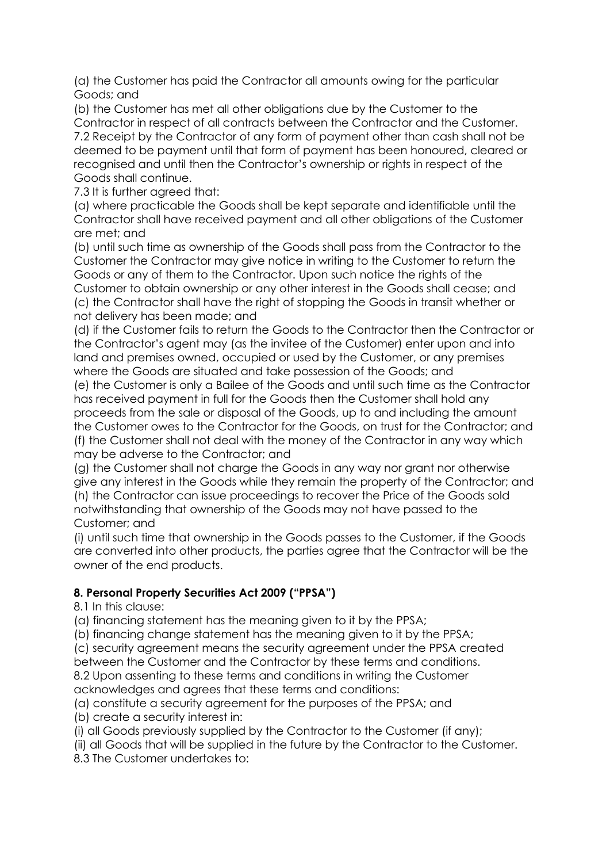(a) the Customer has paid the Contractor all amounts owing for the particular Goods; and

(b) the Customer has met all other obligations due by the Customer to the Contractor in respect of all contracts between the Contractor and the Customer. 7.2 Receipt by the Contractor of any form of payment other than cash shall not be deemed to be payment until that form of payment has been honoured, cleared or recognised and until then the Contractor's ownership or rights in respect of the Goods shall continue.

7.3 It is further agreed that:

(a) where practicable the Goods shall be kept separate and identifiable until the Contractor shall have received payment and all other obligations of the Customer are met; and

(b) until such time as ownership of the Goods shall pass from the Contractor to the Customer the Contractor may give notice in writing to the Customer to return the Goods or any of them to the Contractor. Upon such notice the rights of the Customer to obtain ownership or any other interest in the Goods shall cease; and (c) the Contractor shall have the right of stopping the Goods in transit whether or not delivery has been made; and

(d) if the Customer fails to return the Goods to the Contractor then the Contractor or the Contractor's agent may (as the invitee of the Customer) enter upon and into land and premises owned, occupied or used by the Customer, or any premises where the Goods are situated and take possession of the Goods; and

(e) the Customer is only a Bailee of the Goods and until such time as the Contractor has received payment in full for the Goods then the Customer shall hold any proceeds from the sale or disposal of the Goods, up to and including the amount the Customer owes to the Contractor for the Goods, on trust for the Contractor; and (f) the Customer shall not deal with the money of the Contractor in any way which may be adverse to the Contractor; and

(g) the Customer shall not charge the Goods in any way nor grant nor otherwise give any interest in the Goods while they remain the property of the Contractor; and (h) the Contractor can issue proceedings to recover the Price of the Goods sold notwithstanding that ownership of the Goods may not have passed to the Customer; and

(i) until such time that ownership in the Goods passes to the Customer, if the Goods are converted into other products, the parties agree that the Contractor will be the owner of the end products.

# **8. Personal Property Securities Act 2009 ("PPSA")**

8.1 In this clause:

(a) financing statement has the meaning given to it by the PPSA;

(b) financing change statement has the meaning given to it by the PPSA;

(c) security agreement means the security agreement under the PPSA created

between the Customer and the Contractor by these terms and conditions.

8.2 Upon assenting to these terms and conditions in writing the Customer acknowledges and agrees that these terms and conditions:

(a) constitute a security agreement for the purposes of the PPSA; and

(b) create a security interest in:

(i) all Goods previously supplied by the Contractor to the Customer (if any);

(ii) all Goods that will be supplied in the future by the Contractor to the Customer. 8.3 The Customer undertakes to: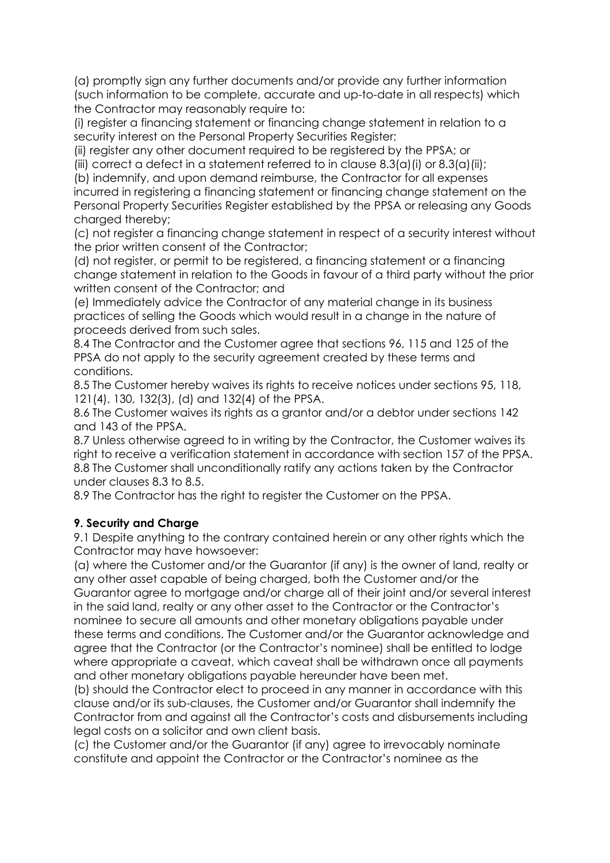(a) promptly sign any further documents and/or provide any further information (such information to be complete, accurate and up-to-date in all respects) which the Contractor may reasonably require to:

(i) register a financing statement or financing change statement in relation to a security interest on the Personal Property Securities Register;

(ii) register any other document required to be registered by the PPSA; or

(iii) correct a defect in a statement referred to in clause  $8.3(a)$  (i) or  $8.3(a)$  (ii);

(b) indemnify, and upon demand reimburse, the Contractor for all expenses incurred in registering a financing statement or financing change statement on the Personal Property Securities Register established by the PPSA or releasing any Goods charged thereby:

(c) not register a financing change statement in respect of a security interest without the prior written consent of the Contractor;

(d) not register, or permit to be registered, a financing statement or a financing change statement in relation to the Goods in favour of a third party without the prior written consent of the Contractor; and

(e) Immediately advice the Contractor of any material change in its business practices of selling the Goods which would result in a change in the nature of proceeds derived from such sales.

8.4 The Contractor and the Customer agree that sections 96, 115 and 125 of the PPSA do not apply to the security agreement created by these terms and conditions.

8.5 The Customer hereby waives its rights to receive notices under sections 95, 118, 121(4), 130, 132(3), (d) and 132(4) of the PPSA.

8.6 The Customer waives its rights as a grantor and/or a debtor under sections 142 and 143 of the PPSA.

8.7 Unless otherwise agreed to in writing by the Contractor, the Customer waives its right to receive a verification statement in accordance with section 157 of the PPSA. 8.8 The Customer shall unconditionally ratify any actions taken by the Contractor under clauses 8.3 to 8.5.

8.9 The Contractor has the right to register the Customer on the PPSA.

#### **9. Security and Charge**

9.1 Despite anything to the contrary contained herein or any other rights which the Contractor may have howsoever:

(a) where the Customer and/or the Guarantor (if any) is the owner of land, realty or any other asset capable of being charged, both the Customer and/or the Guarantor agree to mortgage and/or charge all of their joint and/or several interest in the said land, realty or any other asset to the Contractor or the Contractor's nominee to secure all amounts and other monetary obligations payable under these terms and conditions. The Customer and/or the Guarantor acknowledge and agree that the Contractor (or the Contractor's nominee) shall be entitled to lodge where appropriate a caveat, which caveat shall be withdrawn once all payments and other monetary obligations payable hereunder have been met.

(b) should the Contractor elect to proceed in any manner in accordance with this clause and/or its sub-clauses, the Customer and/or Guarantor shall indemnify the Contractor from and against all the Contractor's costs and disbursements including legal costs on a solicitor and own client basis.

(c) the Customer and/or the Guarantor (if any) agree to irrevocably nominate constitute and appoint the Contractor or the Contractor's nominee as the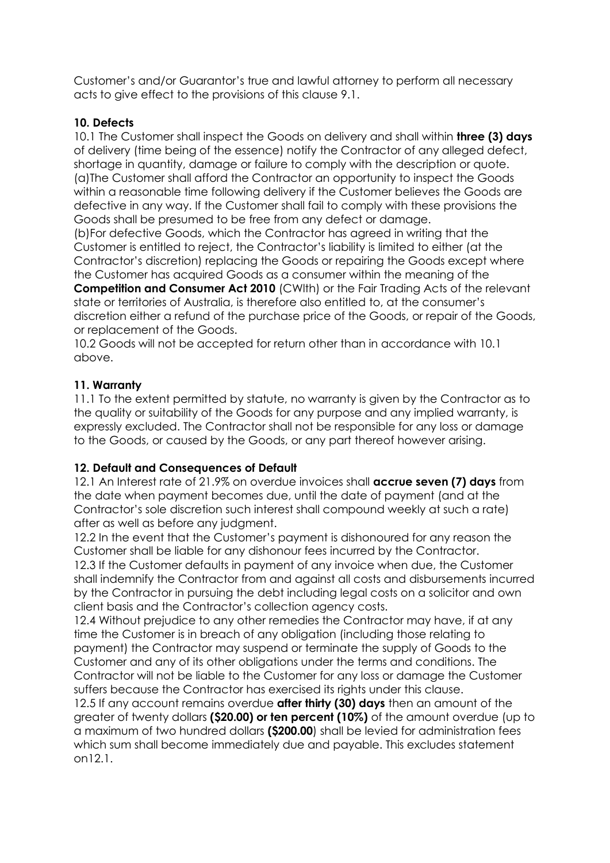Customer's and/or Guarantor's true and lawful attorney to perform all necessary acts to give effect to the provisions of this clause 9.1.

### **10. Defects**

10.1 The Customer shall inspect the Goods on delivery and shall within **three (3) days**  of delivery (time being of the essence) notify the Contractor of any alleged defect, shortage in quantity, damage or failure to comply with the description or quote. (a)The Customer shall afford the Contractor an opportunity to inspect the Goods within a reasonable time following delivery if the Customer believes the Goods are defective in any way. If the Customer shall fail to comply with these provisions the Goods shall be presumed to be free from any defect or damage.

(b)For defective Goods, which the Contractor has agreed in writing that the Customer is entitled to reject, the Contractor's liability is limited to either (at the Contractor's discretion) replacing the Goods or repairing the Goods except where the Customer has acquired Goods as a consumer within the meaning of the **Competition and Consumer Act 2010** (CWlth) or the Fair Trading Acts of the relevant state or territories of Australia, is therefore also entitled to, at the consumer's discretion either a refund of the purchase price of the Goods, or repair of the Goods, or replacement of the Goods.

10.2 Goods will not be accepted for return other than in accordance with 10.1 above.

#### **11. Warranty**

11.1 To the extent permitted by statute, no warranty is given by the Contractor as to the quality or suitability of the Goods for any purpose and any implied warranty, is expressly excluded. The Contractor shall not be responsible for any loss or damage to the Goods, or caused by the Goods, or any part thereof however arising.

#### **12. Default and Consequences of Default**

12.1 An Interest rate of 21.9% on overdue invoices shall **accrue seven (7) days** from the date when payment becomes due, until the date of payment (and at the Contractor's sole discretion such interest shall compound weekly at such a rate) after as well as before any judgment.

12.2 In the event that the Customer's payment is dishonoured for any reason the Customer shall be liable for any dishonour fees incurred by the Contractor.

12.3 If the Customer defaults in payment of any invoice when due, the Customer shall indemnify the Contractor from and against all costs and disbursements incurred by the Contractor in pursuing the debt including legal costs on a solicitor and own client basis and the Contractor's collection agency costs.

12.4 Without prejudice to any other remedies the Contractor may have, if at any time the Customer is in breach of any obligation (including those relating to payment) the Contractor may suspend or terminate the supply of Goods to the Customer and any of its other obligations under the terms and conditions. The Contractor will not be liable to the Customer for any loss or damage the Customer suffers because the Contractor has exercised its rights under this clause.

12.5 If any account remains overdue **after thirty (30) days** then an amount of the greater of twenty dollars **(\$20.00) or ten percent (10%)** of the amount overdue (up to a maximum of two hundred dollars **(\$200.00**) shall be levied for administration fees which sum shall become immediately due and payable. This excludes statement on12.1.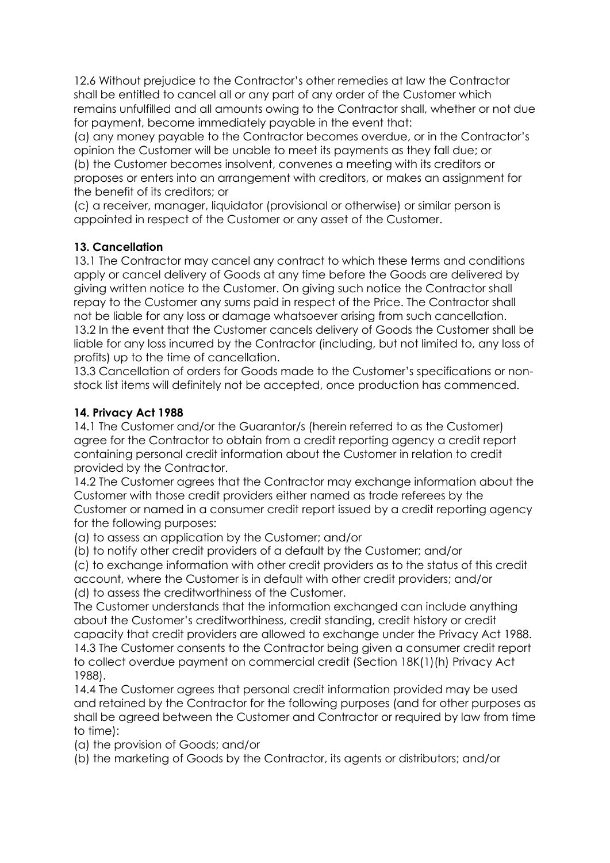12.6 Without prejudice to the Contractor's other remedies at law the Contractor shall be entitled to cancel all or any part of any order of the Customer which remains unfulfilled and all amounts owing to the Contractor shall, whether or not due for payment, become immediately payable in the event that:

(a) any money payable to the Contractor becomes overdue, or in the Contractor's opinion the Customer will be unable to meet its payments as they fall due; or (b) the Customer becomes insolvent, convenes a meeting with its creditors or proposes or enters into an arrangement with creditors, or makes an assignment for the benefit of its creditors; or

(c) a receiver, manager, liquidator (provisional or otherwise) or similar person is appointed in respect of the Customer or any asset of the Customer.

### **13. Cancellation**

13.1 The Contractor may cancel any contract to which these terms and conditions apply or cancel delivery of Goods at any time before the Goods are delivered by giving written notice to the Customer. On giving such notice the Contractor shall repay to the Customer any sums paid in respect of the Price. The Contractor shall not be liable for any loss or damage whatsoever arising from such cancellation. 13.2 In the event that the Customer cancels delivery of Goods the Customer shall be liable for any loss incurred by the Contractor (including, but not limited to, any loss of profits) up to the time of cancellation.

13.3 Cancellation of orders for Goods made to the Customer's specifications or nonstock list items will definitely not be accepted, once production has commenced.

### **14. Privacy Act 1988**

14.1 The Customer and/or the Guarantor/s (herein referred to as the Customer) agree for the Contractor to obtain from a credit reporting agency a credit report containing personal credit information about the Customer in relation to credit provided by the Contractor.

14.2 The Customer agrees that the Contractor may exchange information about the Customer with those credit providers either named as trade referees by the Customer or named in a consumer credit report issued by a credit reporting agency for the following purposes:

(a) to assess an application by the Customer; and/or

(b) to notify other credit providers of a default by the Customer; and/or

(c) to exchange information with other credit providers as to the status of this credit account, where the Customer is in default with other credit providers; and/or (d) to assess the creditworthiness of the Customer.

The Customer understands that the information exchanged can include anything about the Customer's creditworthiness, credit standing, credit history or credit capacity that credit providers are allowed to exchange under the Privacy Act 1988. 14.3 The Customer consents to the Contractor being given a consumer credit report to collect overdue payment on commercial credit (Section 18K(1)(h) Privacy Act 1988).

14.4 The Customer agrees that personal credit information provided may be used and retained by the Contractor for the following purposes (and for other purposes as shall be agreed between the Customer and Contractor or required by law from time to time):

(a) the provision of Goods; and/or

(b) the marketing of Goods by the Contractor, its agents or distributors; and/or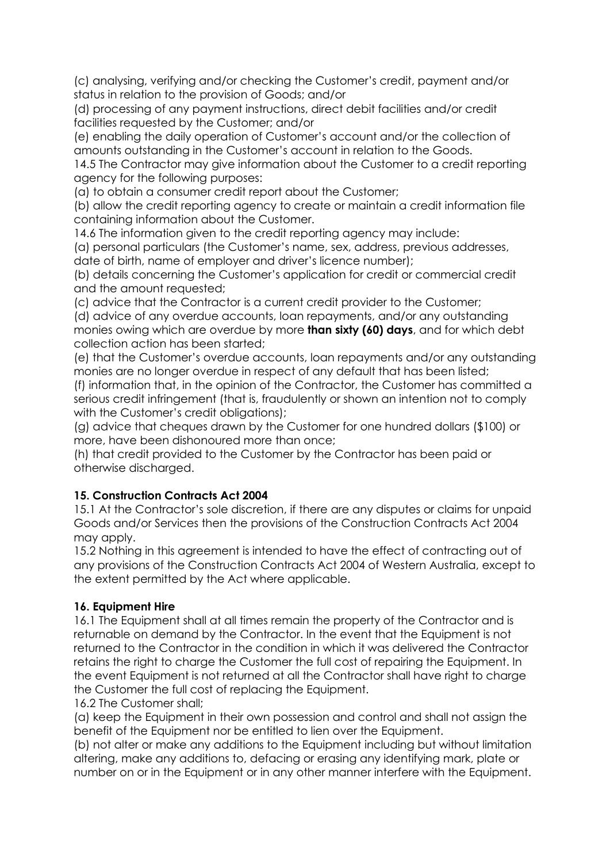(c) analysing, verifying and/or checking the Customer's credit, payment and/or status in relation to the provision of Goods; and/or

(d) processing of any payment instructions, direct debit facilities and/or credit facilities requested by the Customer; and/or

(e) enabling the daily operation of Customer's account and/or the collection of amounts outstanding in the Customer's account in relation to the Goods.

14.5 The Contractor may give information about the Customer to a credit reporting agency for the following purposes:

(a) to obtain a consumer credit report about the Customer;

(b) allow the credit reporting agency to create or maintain a credit information file containing information about the Customer.

14.6 The information given to the credit reporting agency may include:

(a) personal particulars (the Customer's name, sex, address, previous addresses, date of birth, name of employer and driver's licence number);

(b) details concerning the Customer's application for credit or commercial credit and the amount requested;

(c) advice that the Contractor is a current credit provider to the Customer;

(d) advice of any overdue accounts, loan repayments, and/or any outstanding monies owing which are overdue by more **than sixty (60) days**, and for which debt collection action has been started;

(e) that the Customer's overdue accounts, loan repayments and/or any outstanding monies are no longer overdue in respect of any default that has been listed;

(f) information that, in the opinion of the Contractor, the Customer has committed a serious credit infringement (that is, fraudulently or shown an intention not to comply with the Customer's credit obligations);

(g) advice that cheques drawn by the Customer for one hundred dollars (\$100) or more, have been dishonoured more than once;

(h) that credit provided to the Customer by the Contractor has been paid or otherwise discharged.

# **15. Construction Contracts Act 2004**

15.1 At the Contractor's sole discretion, if there are any disputes or claims for unpaid Goods and/or Services then the provisions of the Construction Contracts Act 2004 may apply.

15.2 Nothing in this agreement is intended to have the effect of contracting out of any provisions of the Construction Contracts Act 2004 of Western Australia, except to the extent permitted by the Act where applicable.

#### **16. Equipment Hire**

16.1 The Equipment shall at all times remain the property of the Contractor and is returnable on demand by the Contractor. In the event that the Equipment is not returned to the Contractor in the condition in which it was delivered the Contractor retains the right to charge the Customer the full cost of repairing the Equipment. In the event Equipment is not returned at all the Contractor shall have right to charge the Customer the full cost of replacing the Equipment.

16.2 The Customer shall;

(a) keep the Equipment in their own possession and control and shall not assign the benefit of the Equipment nor be entitled to lien over the Equipment.

(b) not alter or make any additions to the Equipment including but without limitation altering, make any additions to, defacing or erasing any identifying mark, plate or number on or in the Equipment or in any other manner interfere with the Equipment.